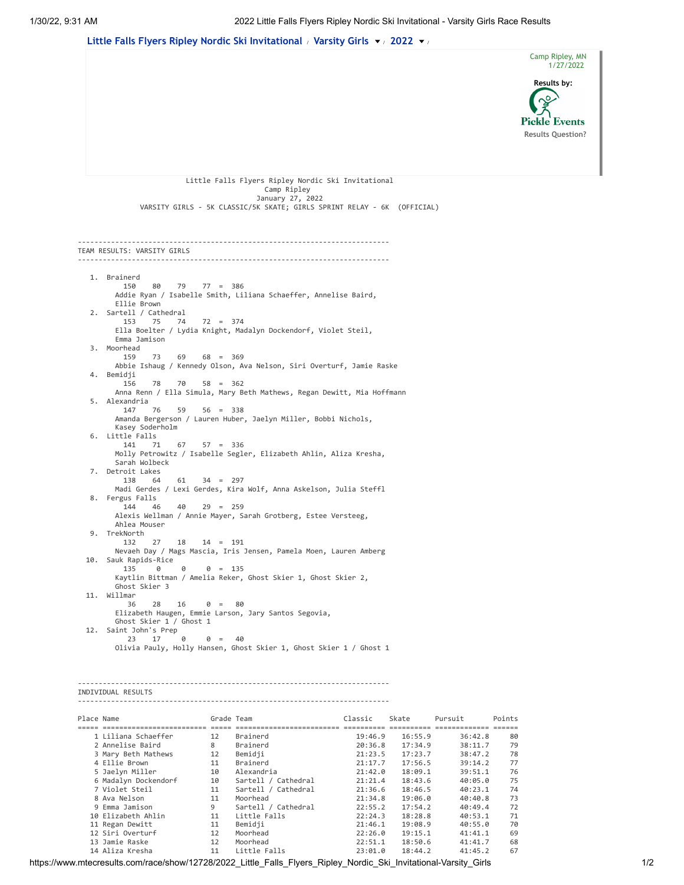

10 Elizabeth Ahlin 11 Little Falls 22:24.3 18:28.8 40:53.1 71<br>11 Regan Dewitt 11 Bemidji 21:46.1 19:08.9 40:55.0 70 11 Regan Dewitt 11 Bemidji 21:46.1 19:08.9 40:55.0 70 12 Siri Overturf 12 Moorhead 22:26.0 19:15.1 41:41.1 69 13 Jamie Raske 12 Moorhead 22:51.1 18:50.6 41:41.7 68 14 Aliza Kresha 11 Little Falls 23:01.0 18:44.2 41:45.2 67